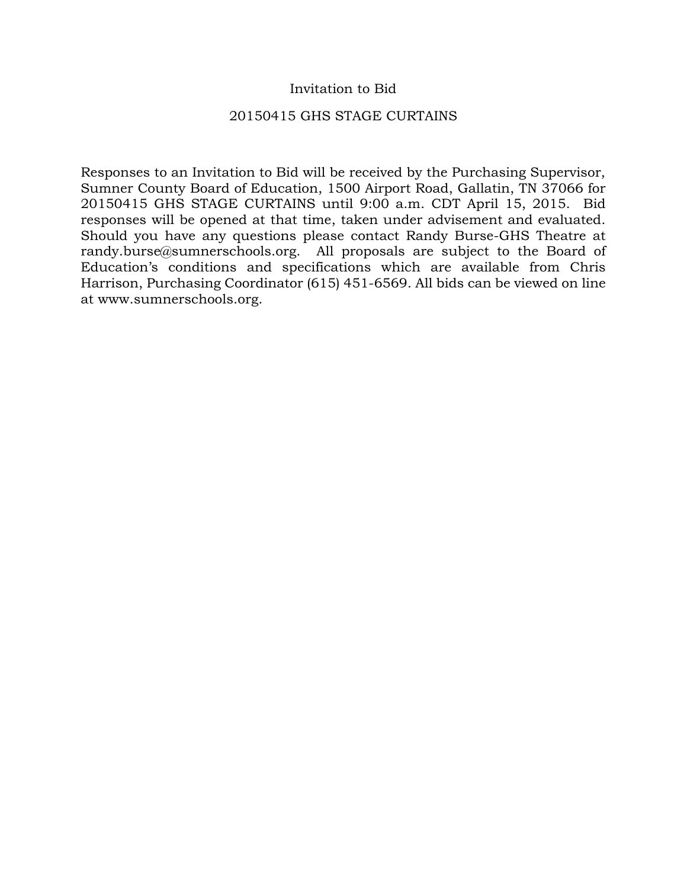## Invitation to Bid

### 20150415 GHS STAGE CURTAINS

Responses to an Invitation to Bid will be received by the Purchasing Supervisor, Sumner County Board of Education, 1500 Airport Road, Gallatin, TN 37066 for 20150415 GHS STAGE CURTAINS until 9:00 a.m. CDT April 15, 2015. Bid responses will be opened at that time, taken under advisement and evaluated. Should you have any questions please contact Randy Burse-GHS Theatre at randy.burse@sumnerschools.org. All proposals are subject to the Board of Education's conditions and specifications which are available from Chris Harrison, Purchasing Coordinator (615) 451-6569. All bids can be viewed on line at www.sumnerschools.org.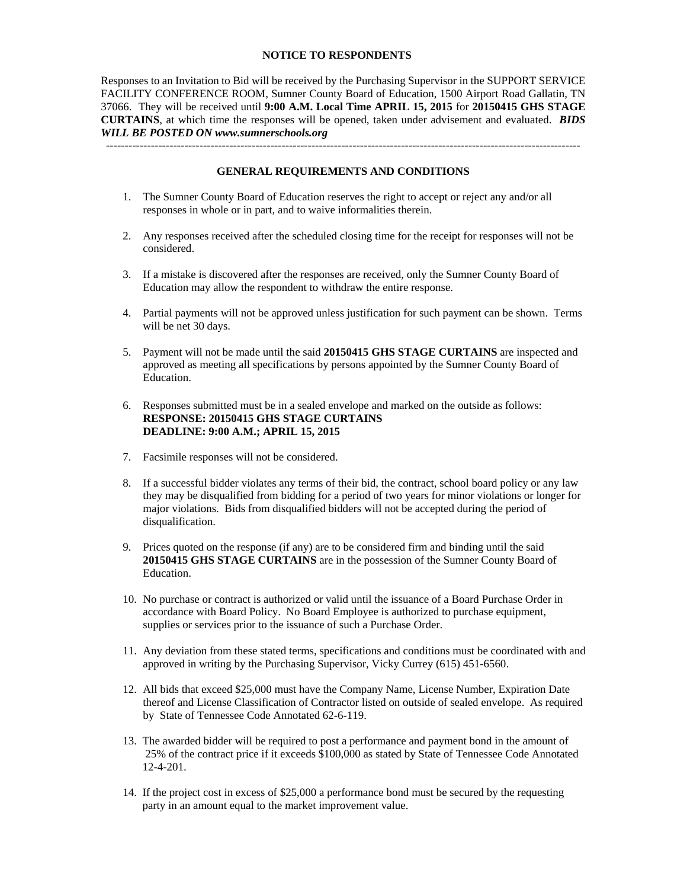#### **NOTICE TO RESPONDENTS**

Responses to an Invitation to Bid will be received by the Purchasing Supervisor in the SUPPORT SERVICE FACILITY CONFERENCE ROOM, Sumner County Board of Education, 1500 Airport Road Gallatin, TN 37066. They will be received until **9:00 A.M. Local Time APRIL 15, 2015** for **20150415 GHS STAGE CURTAINS**, at which time the responses will be opened, taken under advisement and evaluated. *BIDS WILL BE POSTED ON www.sumnerschools.org* 

**GENERAL REQUIREMENTS AND CONDITIONS** 

-------------------------------------------------------------------------------------------------------------------------------

- 1. The Sumner County Board of Education reserves the right to accept or reject any and/or all responses in whole or in part, and to waive informalities therein.
- 2. Any responses received after the scheduled closing time for the receipt for responses will not be considered.
- 3. If a mistake is discovered after the responses are received, only the Sumner County Board of Education may allow the respondent to withdraw the entire response.
- 4. Partial payments will not be approved unless justification for such payment can be shown. Terms will be net 30 days.
- 5. Payment will not be made until the said **20150415 GHS STAGE CURTAINS** are inspected and approved as meeting all specifications by persons appointed by the Sumner County Board of Education.
- 6. Responses submitted must be in a sealed envelope and marked on the outside as follows: **RESPONSE: 20150415 GHS STAGE CURTAINS DEADLINE: 9:00 A.M.; APRIL 15, 2015**
- 7. Facsimile responses will not be considered.
- 8. If a successful bidder violates any terms of their bid, the contract, school board policy or any law they may be disqualified from bidding for a period of two years for minor violations or longer for major violations. Bids from disqualified bidders will not be accepted during the period of disqualification.
- 9. Prices quoted on the response (if any) are to be considered firm and binding until the said **20150415 GHS STAGE CURTAINS** are in the possession of the Sumner County Board of Education.
- 10. No purchase or contract is authorized or valid until the issuance of a Board Purchase Order in accordance with Board Policy. No Board Employee is authorized to purchase equipment, supplies or services prior to the issuance of such a Purchase Order.
- 11. Any deviation from these stated terms, specifications and conditions must be coordinated with and approved in writing by the Purchasing Supervisor, Vicky Currey (615) 451-6560.
- 12. All bids that exceed \$25,000 must have the Company Name, License Number, Expiration Date thereof and License Classification of Contractor listed on outside of sealed envelope. As required by State of Tennessee Code Annotated 62-6-119.
- 13. The awarded bidder will be required to post a performance and payment bond in the amount of 25% of the contract price if it exceeds \$100,000 as stated by State of Tennessee Code Annotated 12-4-201.
- 14. If the project cost in excess of \$25,000 a performance bond must be secured by the requesting party in an amount equal to the market improvement value.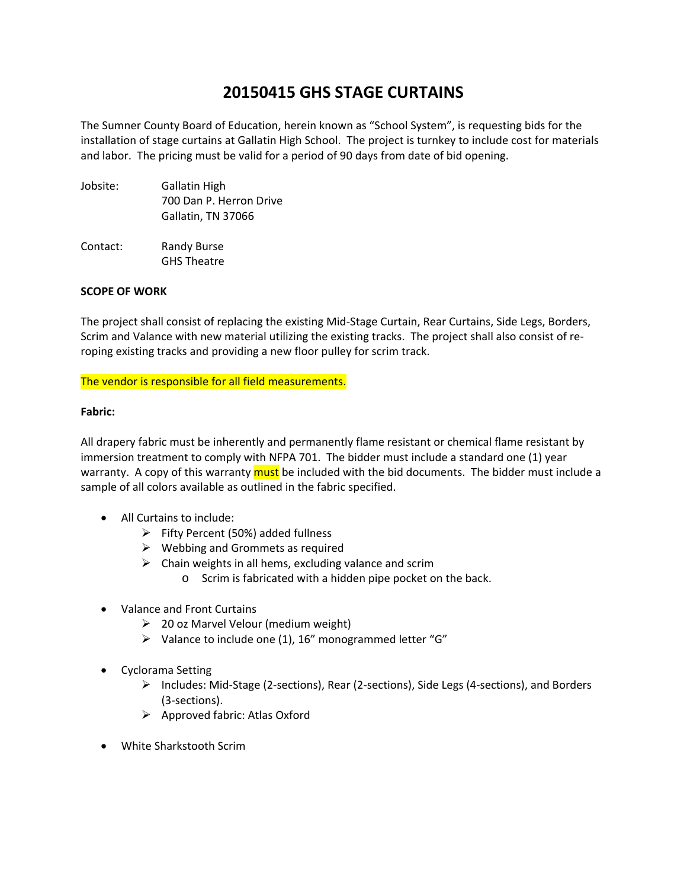# **20150415 GHS STAGE CURTAINS**

The Sumner County Board of Education, herein known as "School System", is requesting bids for the installation of stage curtains at Gallatin High School. The project is turnkey to include cost for materials and labor. The pricing must be valid for a period of 90 days from date of bid opening.

- Jobsite: Gallatin High 700 Dan P. Herron Drive Gallatin, TN 37066
- Contact: Randy Burse GHS Theatre

#### **SCOPE OF WORK**

The project shall consist of replacing the existing Mid‐Stage Curtain, Rear Curtains, Side Legs, Borders, Scrim and Valance with new material utilizing the existing tracks. The project shall also consist of re‐ roping existing tracks and providing a new floor pulley for scrim track.

#### The vendor is responsible for all field measurements.

#### **Fabric:**

All drapery fabric must be inherently and permanently flame resistant or chemical flame resistant by immersion treatment to comply with NFPA 701. The bidder must include a standard one (1) year warranty. A copy of this warranty must be included with the bid documents. The bidder must include a sample of all colors available as outlined in the fabric specified.

- All Curtains to include:
	- $\triangleright$  Fifty Percent (50%) added fullness
	- $\triangleright$  Webbing and Grommets as required
	- $\triangleright$  Chain weights in all hems, excluding valance and scrim
		- o Scrim is fabricated with a hidden pipe pocket on the back.
- Valance and Front Curtains
	- $\geq$  20 oz Marvel Velour (medium weight)
	- $\triangleright$  Valance to include one (1), 16" monogrammed letter "G"
- Cyclorama Setting
	- Includes: Mid‐Stage (2‐sections), Rear (2‐sections), Side Legs (4‐sections), and Borders (3‐sections).
	- $\triangleright$  Approved fabric: Atlas Oxford
- White Sharkstooth Scrim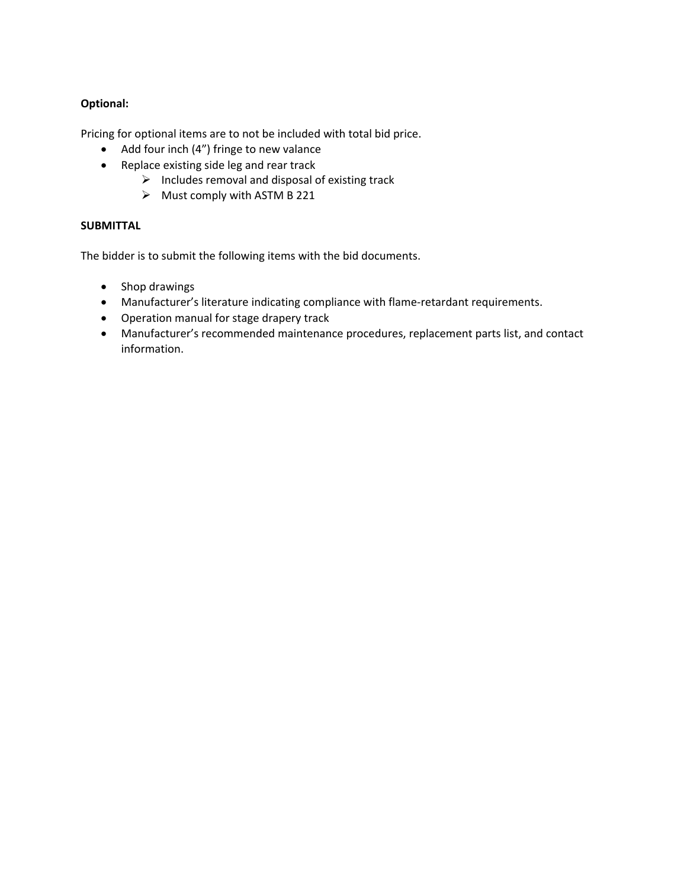### **Optional:**

Pricing for optional items are to not be included with total bid price.

- Add four inch (4") fringe to new valance
- Replace existing side leg and rear track
	- $\triangleright$  Includes removal and disposal of existing track
		- $\triangleright$  Must comply with ASTM B 221

#### **SUBMITTAL**

The bidder is to submit the following items with the bid documents.

- Shop drawings
- Manufacturer's literature indicating compliance with flame-retardant requirements.
- Operation manual for stage drapery track
- Manufacturer's recommended maintenance procedures, replacement parts list, and contact information.